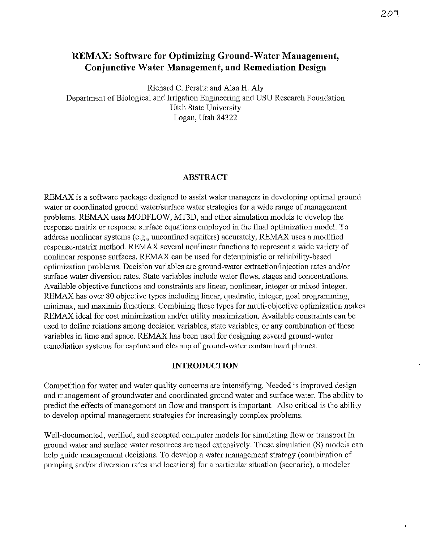# **REMAX: Software for Optimizing Ground-Water Management, Conjunctive Water Management, and Remediation Design**

Richard C. Peralta and Alaa H. Aly Department of Biological and Irrigation Engineering and USU Research Fonndation Utah State University Logan, Utah 84322

### **ABSTRACT**

REMAX is a software package designed to assist water managers in developing optimal ground water or coordinated ground water/surface water strategies for a wide range of management problems. REMAX uses MODFLOW, MT3D, and other simulation models to develop the response matrix or response surface equations employed in the final optimization model. To address nonlinear systems (e.g., unconfined aquifers) accurately, REMAX uses a modified response-matrix method. REMAX several nonlinear functions to represent a wide variety of nonlinear response surfaces. REMAX can be used for deterministic or reliability-based optimization problems. Decision variables are ground-water extraction/injection rates and/or surface water diversion rates. State variables include water flows, stages and concentrations. Available objective functions and constraints are linear, nonlinear, integer or mixed integer. REMAX has over 80 objective types including linear, quadratic, integer, goal progrannning, minimax, and maximin functions. Combining these types for multi-objective optimization makes REMAX ideal for cost minimization and/or utility maximization. Available constraints can be used to define relations among decision variables, state variables, or any combination of these variables in time and space. REMAX has been used for designing several ground-water remediation systems for capture and cleanup of ground-water contaminant plumes.

#### **INTRODUCTION**

Competition for water and water quality concerns are intensifying. Needed is improved design and management of groundwater and coordinated ground water and surface water. The ability to predict the effects of management on flow and transport is important. Also critical is the ability to develop optimal management strategies for increasingly complex problems.

Well-documented, verified, and accepted computer models for simulating flow or transport in ground water and surface water resources are used extensively. These simulation (S) models can help guide management decisions. To develop a water management strategy (combination of pumping and/or diversion rates and locations) for a particular situation (scenario), a modeler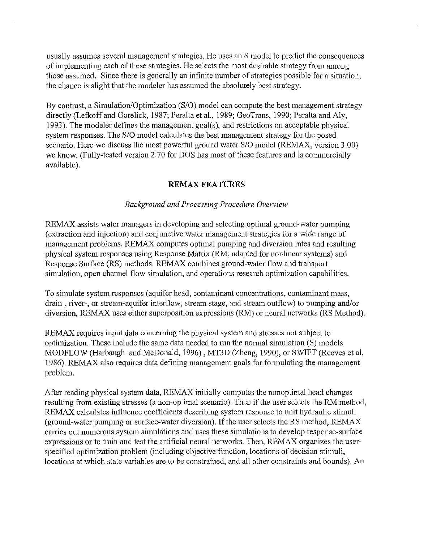usually assumes several management strategies. He uses an S model to predict the consequences of implementing each of these strategies. He selects the most desirable strategy from among those assumed. Since there is generally an infinite number of strategies possible for a situation, the chance is slight that the modeler has assumed the absolutely best strategy.

By contrast, a Simulation/Optimization (S/0) model can compute the best management strategy directly (Lefkoff and Gorelick, 1987; Peralta et a!., 1989; GeoTrans, 1990; Peralta and Aly, 1993). The modeler defines the management goal(s), and restrictions on acceptable physical system responses. The S/0 model calculates the best management strategy for the posed scenario. Here we discuss the most powerful ground water S/0 model (REMAX, version 3.00) we know. (Fully-tested version 2. 70 for DOS has most of these features and is commercially available).

### **REMAX FEATURES**

#### *Background and Processing Procedure Overview*

REMAX assists water managers in developing and selecting optimal ground-water pumping (extraction and injection) and conjunctive water management strategies for a wide range of management problems. REMAX computes optimal pumping and diversion rates and resulting physical system responses using Response Matrix (RM; adapted for nonlinear systems) and Response Surface (RS) methods. REMAX combines ground-water flow and transport simulation, open charmel flow simulation, and operations research optimization capabilities.

To simulate system responses (aquifer head, contaminant concentrations, contaminant mass, drain-, river-, or stream-aquifer interflow, stream stage, and stream outflow) to pumping and/or diversion, REMAX uses either superposition expressions (RM) or neural networks (RS Method).

REMAX requires input data concerning the physical system and stresses not subject to optimization. These include the same data needed to run the normal simulation (S) models MODFLOW (Harbaugh and McDonald, 1996) , MT3D (Zheng, 1990), or SWIFT (Reeves eta!, 1986). REMAX also requires data defining management goals for formulating the management problem.

After reading physical system data, REMAX initially computes the nonoptimal head changes resulting from existing stresses (a non-optimal scenario). Then if the user selects the RM method, REMAX calculates influence coefficients describing system response to unit hydraulic stimuli (ground-water pumping or surface-water diversion). If the user selects the RS method, REMAX carries out numerous system simulations and uses these simulations to develop response-surface expressions or to train and test the artificial neural networks. Then, REMAX organizes the userspecified optimization problem (including objective function, locations of decision stimuli, locations at which state variables are to be constrained, and all other constraints and bounds). An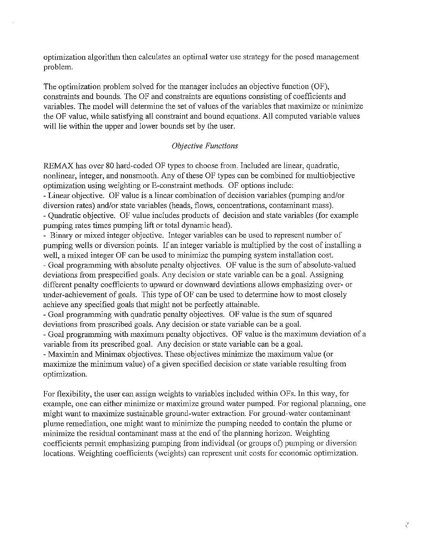optimization algorithm then calculates an optimal water use strategy for the posed management problem.

The optimization problem solved for the manager includes an objective function (OF), constraints and bounds. The OF and constraints are equations consisting of coefficients and variables. The model will determine the set of values of the variables that maximize or minimize the OF value, while satisfying all constraint and bound equations. All computed variable values will lie within the upper and lower bounds set by the user.

### *Objective Functions*

REMAX has over 80 hard-coded OF types to choose from. Included are linear, quadratic, nonlinear, integer, and nonsmooth. Any of these OF types can be combined for multiobjective optimization using weighting or E-constraint methods. OF options include:

- Linear objective. OF value is a linear combination of decision variables (pumping and/or diversion rates) and/or state variables (heads, flows, concentrations, contaminant mass). -Quadratic objective. OF value includes products of decision and state variables (for example

pumping rates times pumping lift or total dynamic head).

- Binary or mixed integer objective. Integer variables can be used to represent number of pumping wells or diversion points. If an integer variable is multiplied by the cost of installing a well, a mixed integer OF can be used to minimize the pumping system installation cost.

-Goal programming with absolute penalty objectives. OF value is the sum of absolute-valued deviations from prespecified goals. Any decision or state variable can be a goal. Assigning different penalty coefficients to upward or downward deviations allows emphasizing over- or lmder-achievement of goals. This type of OF can be used to determine how to most closely achieve any specified goals that might not be perfectly attainable.

- Goal programming with quadratic penalty objectives. OF value is the sum of squared deviations from prescribed goals. Any decision or state variable can be a goal.

- Goal programming with maximum penalty objectives. OF value is the maximum deviation of a variable from its prescribed goal. Any decision or state variable can be a goal.

- Maximin and Minimax objectives. These objectives minimize the maximum value (or maximize the minimum value) of a given specified decision or state variable resulting from optimization.

For flexibility, the user can assign weights to variables included within OFs. ln this way, for example, one can either minimize or maximize ground water pumped. For regional planning, one might want to maximize sustainable ground-water extraction. For ground-water contaminant plume remediation, one might want to minimize the pumping needed to contain the plume or minimize the residual contaminant mass at the end of the planning horizon. Weighting coefficients permit emphasizing pumping from individual (or groups of) pumping or diversion locations. Weighting coefficients (weights) can represent unit costs for economic optimization.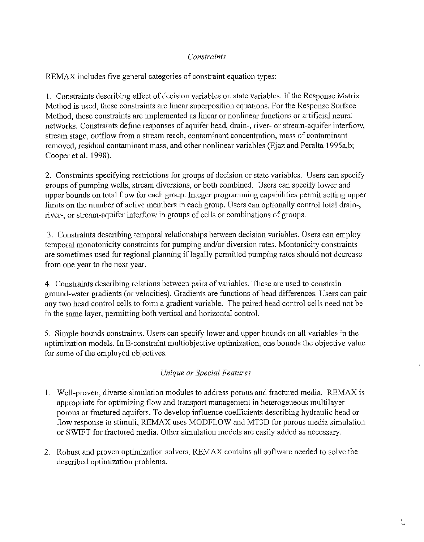# *Constraints*

REMAX includes five general categories of constraint equation types:

I. Constraints describing effect of decision variables on state variables. If the Response Matrix Method is used, these constraints are linear superposition equations. For the Response Surface Method, these constraints are implemented as linear or nonlinear functions or artificial neural networks. Constraints define responses of aquifer head, drain-, river- or stream-aquifer interflow, stream stage, outflow from a stream reach, contaminant concentration, mass of contaminant removed, residual contaminant mass, and other nonlinear variables (Ejaz and Peralta 1995a,b; Cooper et al. 1998).

2. Constraints specifying restrictions for groups of decision or state variables. Users can specify groups of pumping wells, stream diversions, or both combined. Users can specify lower and upper bounds on total flow for each group. Integer programming capabilities permit setting upper limits on the number of active members in each group. Users can optionally control total drain-, river-, or stream-aquifer interflow in groups of cells or combinations of groups.

3. Constraints describing temporal relationships between decision variables. Users can employ temporal monotonicity constraints for pumping and/or diversion rates. Montonicity constraints are sometimes used for regional planning if legally permitted pumping rates should not decrease from one year to the next year.

4. Constraints describing relations between pairs of variables. These are used to constrain ground-water gradients (or velocities). Gradients are functions of head differences. Users can pair any two head control cells to form a gradient variable. The paired head control cells need not be in the same layer, permitting both vertical and horizontal control.

5. Simple bounds constraints. Users can specify lower and upper bounds on all variables in the optimization models. In E-constraint multiobjective optimization, one bounds the objective value for some of the employed objectives.

## *Unique or Special Features*

- 1. Well-proven, diverse simulation modules to address porous and fractured media. REMAX is appropriate for optimizing flow and transport management in heterogeneous multilayer porous or fractured aquifers. To develop influence coefficients describing hydraulic head or flow response to stimuli, REMAX uses MODFLOW and MT3D for porous media simulation or SWIFT for fractured media. Other simulation models are easily added as necessary.
- 2. Robust and proven optimization solvers. REMAX contains all software needed to solve the described optimization problems.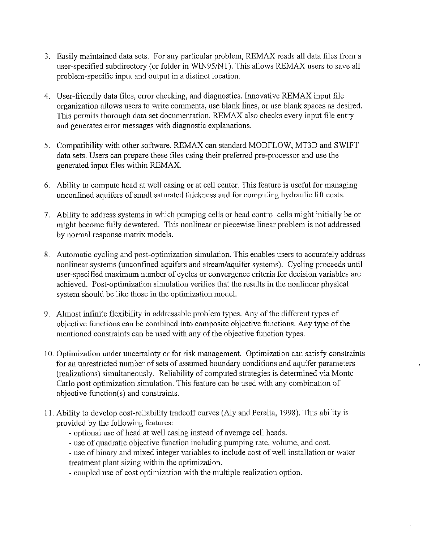- 3. Easily maintained data sets. For any particular problem, REMAX reads all data files from a user-specified subdirectory (or folder in WIN95/NT). This allows REMAX users to save all problem-specific input and output in a distinct location.
- 4. User-friendly data files, error checking, and diagnostics. Innovative REMAX input file organization allows users to write comments, use blank lines, or use blank spaces as desired. This permits thorough data set documentation. REMAX also checks every input file entry and generates error messages with diagnostic explanations.
- 5. Compatibility with other software. REMAX can standard MODFLOW, MT3D and SWIFT data sets. Users can prepare these files using their preferred pre-processor and use the generated input files within REMAX.
- 6. Ability to compute head at well casing or at cell center. This feature is useful for managing unconfined aquifers of small saturated thickness and for computing hydraulic lift costs.
- 7. Ability to address systems in which pumping cells or head control cells might initially be or might become fully dewatered. This nonlinear or piecewise linear problem is not addressed by normal response matrix models.
- 8. Automatic cycling and post-optimization simulation. This enables users to accurately address nonlinear systems (unconfined aquifers and stream/aquifer systems). Cycling proceeds until user-specified maximum number of cycles or convergence criteria for decision variables are achieved. Post-optimization simulation verifies that the results in the nonlinear physical system should be like those in the optimization model.
- 9. Almost infinite flexibility in addressable problem types. Any of the different types of objective functions can be combined into composite objective functions. Any type of the mentioned constraints can be used with any of the objective function types.
- 10. Optimization under uncertainty or for risk management. Optimization can satisfy constraints for an unrestricted number of sets of assumed boundary conditions and aquifer parameters (realizations) simultaneously. Reliability of computed strategies is determined via Monte Carlo post optimization simulation. This feature can be used with any combination of objective function(s) and constraints.
- 11. Ability to develop cost-reliability tradeoff curves (Aly and Peralta, 1998). This ability is provided by the following features:
	- optional use of head at well casing instead of average cell heads.
	- -use of quadratic objective function including pumping rate, volume, and cost.
	- use of binary and mixed integer variables to include cost of well installation or water treatment plant sizing within the optimization.
	- coupled use of cost optimization with the multiple realization option.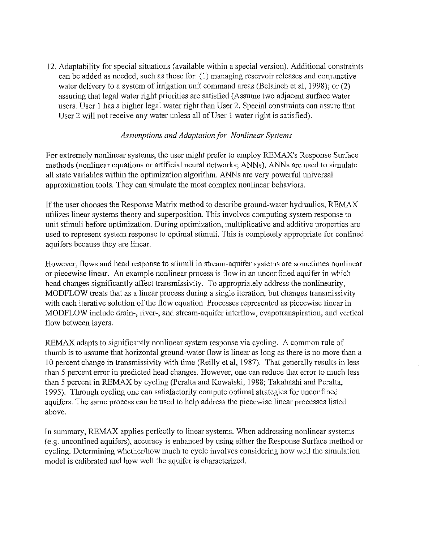12. Adaptability for special situations (available within a special version). Additional constraints can be added as needed, such as those for: (1) managing reservoir releases and conjunctive water delivery to a system of irrigation unit command areas (Belaineh et al, 1998); or  $(2)$ assuring that legal water right priorities are satisfied (Asswne two adjacent surface water users. User 1 has a higher legal water right than User 2. Special constraints can assure that User 2 will not receive any water unless all of User 1 water right is satisfied).

### *Assumptions and Adaptation for Nonlinear Systems*

For extremely nonlinear systems, the user might prefer to employ REMAX's Response Surface methods (nonlinear equations or artificial neural networks; ANNs). ANNs are used to simulate all state variables within the optimization algorithm. ANNs are very powerful universal approximation tools. They can simulate the most complex nonlinear behaviors.

If the user chooses tbe Response Matrix method to describe ground-water hydraulics, REMAX utilizes linear systems theory and superposition. This involves computing system response to unit stimuli before optimization. During optimization, multiplicative and additive properties are used to represent system response to optimal stimuli. This is completely appropriate for confined aquifers because they are linear.

However, flows and head response to stimuli in stream-aquifer systems are sometimes nonlinear or piecewise linear. An example nonlinear process is flow in an unconfined aquifer in which head changes significantly affect transmissivity. To appropriately address the nonlinearity, MODFLOW treats that as a linear process during a single iteration, but changes transmissivity with each iterative solution of the flow equation. Processes represented as piecewise linear in MODFLOW include drain-, river-, and stream-aquifer interflow, evapotranspiration, and vertical flow between layers.

REMAX adapts to significantly nonlinear system response via cycling. A common rule of thwnb is to assume that horizontal ground-water flow is linear as long as there is no more than a 10 percent change in transmissivity with time (Reilly et al, 1987). That generally results in less than 5 percent error in predicted head changes. However, one can reduce that error to much less than 5 percent in REMAX by cycling (Peralta and Kowalski, 1988; Takahashi and Peralta, 1995). Through cycling one can satisfactorily compute optimal strategies for unconfined aquifers. The same process can be used to help address the piecewise linear processes listed above.

In summary, REMAX applies perfectly to linear systems. When addressing nonlinear systems (e.g. unconfined aquifers), accuracy is enhanced by using either the Response Surface method or cycling. Determining whether/how much to cycle involves considering how well the simulation model is calibrated and how well the aquifer is characterized.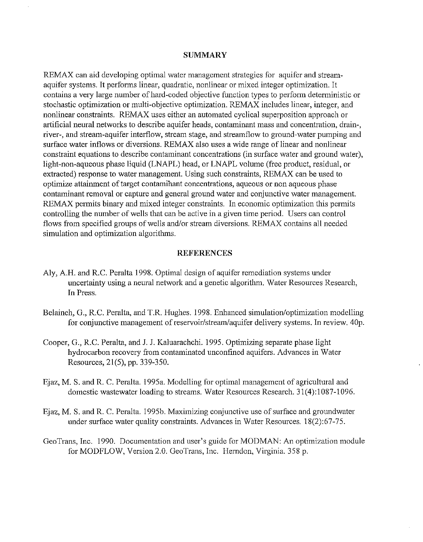#### **SUMMARY**

REMAX can aid developing optimal water management strategies for aquifer and streamaquifer systems. It performs linear, quadratic, nonlinear or mixed integer optimization. It contains a very large number of hard-coded objective function types to perform deterministic or stochastic optimization or multi-objective optimization. REMAX includes linear, integer, and nonlinear constraints. REMAX uses either an automated cyclical superposition approach or artificial neural networks to describe aquifer heads, contaminant mass and concentration, drain-, river-, and stream-aquifer interflow, stream stage, and streamflow to ground-water pumping and surface water inflows or diversions. REMAX also uses a wide range of linear and nonlinear constraint equations to describe contaminant concentrations (in surface water and ground water), light-non-aqueous phase liquid (LNAPL) head, or LNAPL volume (free product, residual, or extracted) response to water management. Using such constraints, REMAX can be used to optimize attainment of target contaminant concentrations, aqueous or non aqueous phase contaminant removal or capture and general ground water and conjunctive water management. REMAX permits binary and mixed integer constraints. In economic optimization this permits controlling the number of wells that can be active in a given time period. Users can control flows from specified groups of wells and/or stream diversions. REMAX contains all needed simulation and optimization algorithms.

#### **REFERENCES**

- Aly, A.H. and R.C. Peralta 1998. Optimal design of aquifer remediation systems under uncertainty using a neural network and a genetic algorithm. Water Resources Research, In Press.
- Belaineh, G., R.C. Peralta, and T.R. Hughes. 1998. Enhanced simulation/optimization modelling for conjunctive management of reservoir/stream/aquifer delivery systems. In review. 40p.
- Cooper, G., R.C. Peralta, and J. J. Kaluarachchi. 1995. Optimizing separate phase light hydrocarbon recovery from contaminated unconfined aquifers. Advances in Water Resources, 21(5), pp. 339-350.
- Ejaz, M. S. and R. C. Peralta. 1995a. Modelling for optimal management of agricultural and domestic wastewater loading to streams. Water Resources Research. 31(4):1087-1096.
- Ejaz, M. S. and R. C. Peralta. 1995b. Maximizing conjunctive use of surface and groundwater under surface water quality constraints. Advances in Water Resources. 18(2):67-75.
- GeoTrans, Inc. 1990. Documentation and user's guide for MODMAN: An optimization module for MODFLOW, Version 2.0. GeoTrans, Inc. Herndon, Virginia. 358 p.